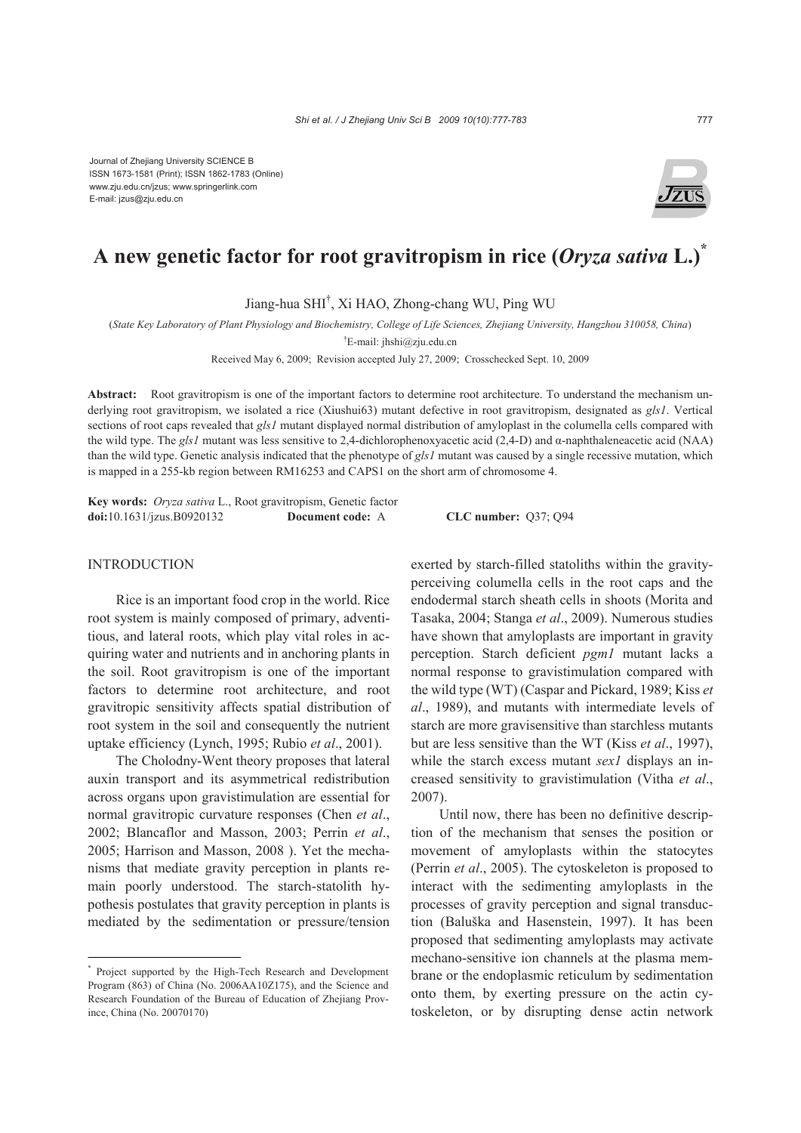

# **A new genetic factor for root gravitropism in rice (***Oryza sativa* **L.)\***

Jiang-hua SHI† , Xi HAO, Zhong-chang WU, Ping WU

(*State Key Laboratory of Plant Physiology and Biochemistry, College of Life Sciences, Zhejiang University, Hangzhou 310058, China*)

† E-mail: jhshi@zju.edu.cn

Received May 6, 2009; Revision accepted July 27, 2009; Crosschecked Sept. 10, 2009

**Abstract:** Root gravitropism is one of the important factors to determine root architecture. To understand the mechanism underlying root gravitropism, we isolated a rice (Xiushui63) mutant defective in root gravitropism, designated as *gls1*. Vertical sections of root caps revealed that *gls1* mutant displayed normal distribution of amyloplast in the columella cells compared with the wild type. The *gls1* mutant was less sensitive to 2,4-dichlorophenoxyacetic acid (2,4-D) and α-naphthaleneacetic acid (NAA) than the wild type. Genetic analysis indicated that the phenotype of *gls1* mutant was caused by a single recessive mutation, which is mapped in a 255-kb region between RM16253 and CAPS1 on the short arm of chromosome 4.

**Key words:** *Oryza sativa* L., Root gravitropism, Genetic factor **doi:**10.1631/jzus.B0920132 **Document code:** A **CLC number:** Q37; Q94

## **INTRODUCTION**

Rice is an important food crop in the world. Rice root system is mainly composed of primary, adventitious, and lateral roots, which play vital roles in acquiring water and nutrients and in anchoring plants in the soil. Root gravitropism is one of the important factors to determine root architecture, and root gravitropic sensitivity affects spatial distribution of root system in the soil and consequently the nutrient uptake efficiency (Lynch, 1995; Rubio *et al*., 2001).

The Cholodny-Went theory proposes that lateral auxin transport and its asymmetrical redistribution across organs upon gravistimulation are essential for normal gravitropic curvature responses (Chen *et al*., 2002; Blancaflor and Masson, 2003; Perrin *et al*., 2005; Harrison and Masson, 2008 ). Yet the mechanisms that mediate gravity perception in plants remain poorly understood. The starch-statolith hypothesis postulates that gravity perception in plants is mediated by the sedimentation or pressure/tension

exerted by starch-filled statoliths within the gravityperceiving columella cells in the root caps and the endodermal starch sheath cells in shoots (Morita and Tasaka, 2004; Stanga *et al*., 2009). Numerous studies have shown that amyloplasts are important in gravity perception. Starch deficient *pgm1* mutant lacks a normal response to gravistimulation compared with the wild type (WT) (Caspar and Pickard, 1989; Kiss *et al*., 1989), and mutants with intermediate levels of starch are more gravisensitive than starchless mutants but are less sensitive than the WT (Kiss *et al*., 1997), while the starch excess mutant *sex1* displays an increased sensitivity to gravistimulation (Vitha *et al*., 2007).

Until now, there has been no definitive description of the mechanism that senses the position or movement of amyloplasts within the statocytes (Perrin *et al*., 2005). The cytoskeleton is proposed to interact with the sedimenting amyloplasts in the processes of gravity perception and signal transduction (Baluška and Hasenstein, 1997). It has been proposed that sedimenting amyloplasts may activate mechano-sensitive ion channels at the plasma membrane or the endoplasmic reticulum by sedimentation onto them, by exerting pressure on the actin cytoskeleton, or by disrupting dense actin network

<sup>\*</sup> Project supported by the High-Tech Research and Development Program (863) of China (No. 2006AA10Z175), and the Science and Research Foundation of the Bureau of Education of Zhejiang Province, China (No. 20070170)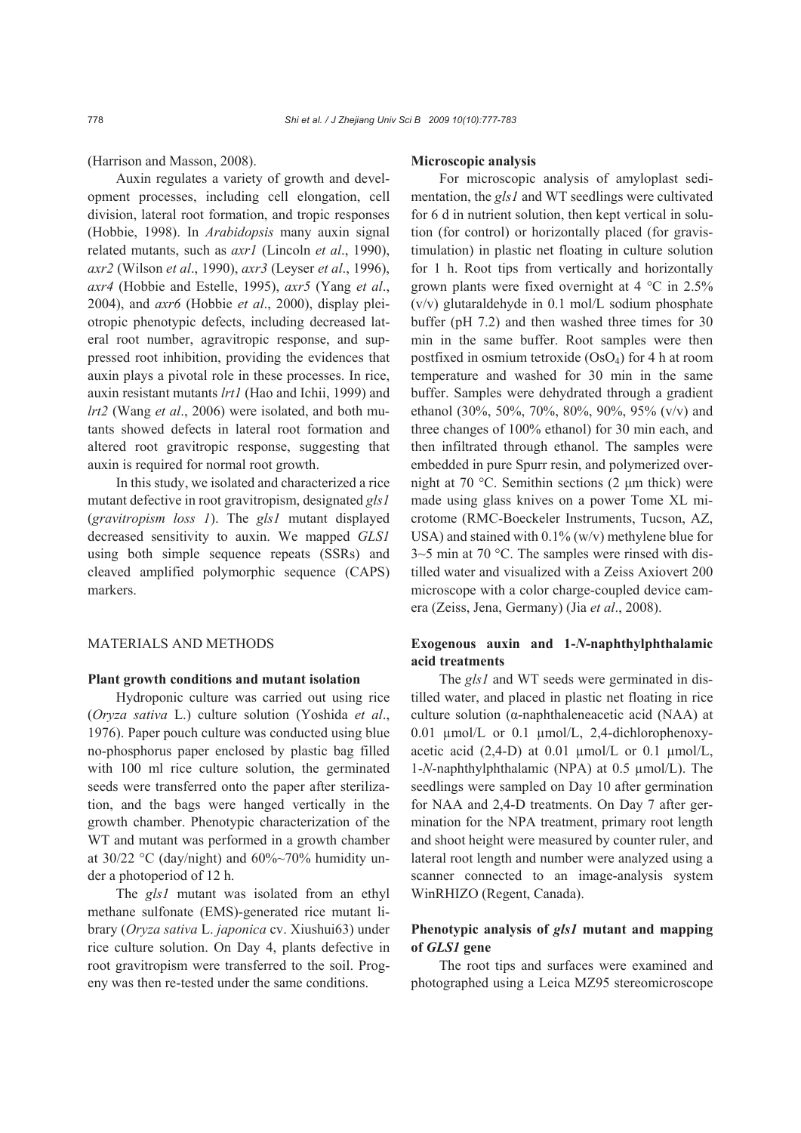(Harrison and Masson, 2008).

Auxin regulates a variety of growth and development processes, including cell elongation, cell division, lateral root formation, and tropic responses (Hobbie, 1998). In *Arabidopsis* many auxin signal related mutants, such as *axr1* (Lincoln *et al*., 1990), *axr2* (Wilson *et al*., 1990), *axr3* (Leyser *et al*., 1996), *axr4* (Hobbie and Estelle, 1995), *axr5* (Yang *et al*., 2004), and *axr6* (Hobbie *et al*., 2000), display pleiotropic phenotypic defects, including decreased lateral root number, agravitropic response, and suppressed root inhibition, providing the evidences that auxin plays a pivotal role in these processes. In rice, auxin resistant mutants *lrt1* (Hao and Ichii, 1999) and *lrt2* (Wang *et al*., 2006) were isolated, and both mutants showed defects in lateral root formation and altered root gravitropic response, suggesting that auxin is required for normal root growth.

In this study, we isolated and characterized a rice mutant defective in root gravitropism, designated *gls1*  (*gravitropism loss 1*). The *gls1* mutant displayed decreased sensitivity to auxin. We mapped *GLS1* using both simple sequence repeats (SSRs) and cleaved amplified polymorphic sequence (CAPS) markers.

# MATERIALS AND METHODS

#### **Plant growth conditions and mutant isolation**

Hydroponic culture was carried out using rice (*Oryza sativa* L.) culture solution (Yoshida *et al*., 1976). Paper pouch culture was conducted using blue no-phosphorus paper enclosed by plastic bag filled with 100 ml rice culture solution, the germinated seeds were transferred onto the paper after sterilization, and the bags were hanged vertically in the growth chamber. Phenotypic characterization of the WT and mutant was performed in a growth chamber at 30/22 °C (day/night) and  $60\% \sim 70\%$  humidity under a photoperiod of 12 h.

The *gls1* mutant was isolated from an ethyl methane sulfonate (EMS)-generated rice mutant library (*Oryza sativa* L. *japonica* cv. Xiushui63) under rice culture solution. On Day 4, plants defective in root gravitropism were transferred to the soil. Progeny was then re-tested under the same conditions.

#### **Microscopic analysis**

For microscopic analysis of amyloplast sedimentation, the *gls1* and WT seedlings were cultivated for 6 d in nutrient solution, then kept vertical in solution (for control) or horizontally placed (for gravistimulation) in plastic net floating in culture solution for 1 h. Root tips from vertically and horizontally grown plants were fixed overnight at 4 °C in 2.5% (v/v) glutaraldehyde in 0.1 mol/L sodium phosphate buffer (pH 7.2) and then washed three times for 30 min in the same buffer. Root samples were then postfixed in osmium tetroxide  $(OsO<sub>4</sub>)$  for 4 h at room temperature and washed for 30 min in the same buffer. Samples were dehydrated through a gradient ethanol (30%, 50%, 70%, 80%, 90%, 95% (v/v) and three changes of 100% ethanol) for 30 min each, and then infiltrated through ethanol. The samples were embedded in pure Spurr resin, and polymerized overnight at 70 °C. Semithin sections (2 μm thick) were made using glass knives on a power Tome XL microtome (RMC-Boeckeler Instruments, Tucson, AZ, USA) and stained with 0.1% (w/v) methylene blue for 3~5 min at 70 °C. The samples were rinsed with distilled water and visualized with a Zeiss Axiovert 200 microscope with a color charge-coupled device camera (Zeiss, Jena, Germany) (Jia *et al*., 2008).

# **Exogenous auxin and 1-***N***-naphthylphthalamic acid treatments**

The *gls1* and WT seeds were germinated in distilled water, and placed in plastic net floating in rice culture solution (α-naphthaleneacetic acid (NAA) at 0.01 µmol/L or 0.1 µmol/L, 2,4-dichlorophenoxyacetic acid  $(2,4-D)$  at 0.01  $\mu$ mol/L or 0.1  $\mu$ mol/L, 1-*N*-naphthylphthalamic (NPA) at 0.5 µmol/L). The seedlings were sampled on Day 10 after germination for NAA and 2,4-D treatments. On Day 7 after germination for the NPA treatment, primary root length and shoot height were measured by counter ruler, and lateral root length and number were analyzed using a scanner connected to an image-analysis system WinRHIZO (Regent, Canada).

# **Phenotypic analysis of** *gls1* **mutant and mapping of** *GLS1* **gene**

The root tips and surfaces were examined and photographed using a Leica MZ95 stereomicroscope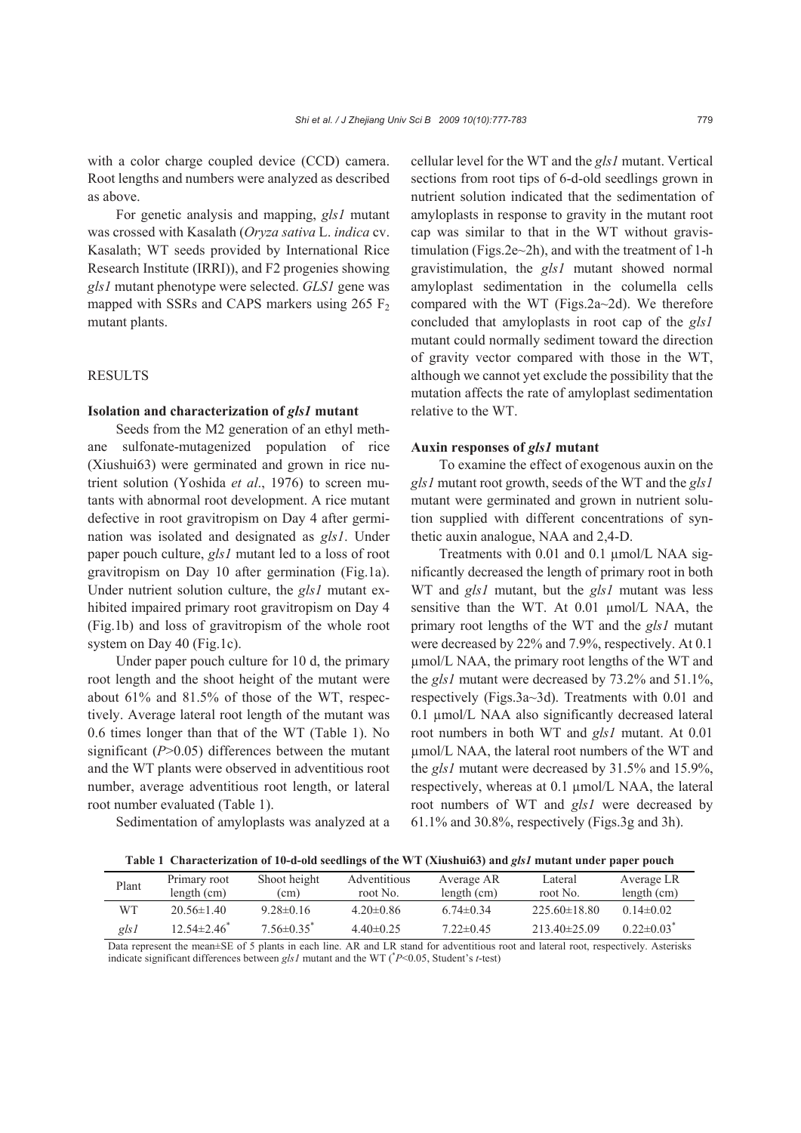with a color charge coupled device (CCD) camera. Root lengths and numbers were analyzed as described as above.

For genetic analysis and mapping, *gls1* mutant was crossed with Kasalath (*Oryza sativa* L. *indica* cv. Kasalath; WT seeds provided by International Rice Research Institute (IRRI)), and F2 progenies showing *gls1* mutant phenotype were selected. *GLS1* gene was mapped with SSRs and CAPS markers using  $265 \text{ F}_2$ mutant plants.

## **RESULTS**

#### **Isolation and characterization of** *gls1* **mutant**

Seeds from the M2 generation of an ethyl methane sulfonate-mutagenized population of rice (Xiushui63) were germinated and grown in rice nutrient solution (Yoshida *et al*., 1976) to screen mutants with abnormal root development. A rice mutant defective in root gravitropism on Day 4 after germination was isolated and designated as *gls1*. Under paper pouch culture, *gls1* mutant led to a loss of root gravitropism on Day 10 after germination (Fig.1a). Under nutrient solution culture, the *gls1* mutant exhibited impaired primary root gravitropism on Day 4 (Fig.1b) and loss of gravitropism of the whole root system on Day 40 (Fig.1c).

Under paper pouch culture for 10 d, the primary root length and the shoot height of the mutant were about 61% and 81.5% of those of the WT, respectively. Average lateral root length of the mutant was 0.6 times longer than that of the WT (Table 1). No significant (*P*>0.05) differences between the mutant and the WT plants were observed in adventitious root number, average adventitious root length, or lateral root number evaluated (Table 1).

Sedimentation of amyloplasts was analyzed at a

cellular level for the WT and the *gls1* mutant. Vertical sections from root tips of 6-d-old seedlings grown in nutrient solution indicated that the sedimentation of amyloplasts in response to gravity in the mutant root cap was similar to that in the WT without gravistimulation (Figs.2e~2h), and with the treatment of 1-h gravistimulation, the *gls1* mutant showed normal amyloplast sedimentation in the columella cells compared with the WT (Figs.2a~2d). We therefore concluded that amyloplasts in root cap of the *gls1* mutant could normally sediment toward the direction of gravity vector compared with those in the WT, although we cannot yet exclude the possibility that the mutation affects the rate of amyloplast sedimentation relative to the WT.

#### **Auxin responses of** *gls1* **mutant**

To examine the effect of exogenous auxin on the *gls1* mutant root growth, seeds of the WT and the *gls1*  mutant were germinated and grown in nutrient solution supplied with different concentrations of synthetic auxin analogue, NAA and 2,4-D.

Treatments with 0.01 and 0.1 µmol/L NAA significantly decreased the length of primary root in both WT and *gls1* mutant, but the *gls1* mutant was less sensitive than the WT. At 0.01 µmol/L NAA, the primary root lengths of the WT and the *gls1* mutant were decreased by 22% and 7.9%, respectively. At 0.1 µmol/L NAA, the primary root lengths of the WT and the *gls1* mutant were decreased by 73.2% and 51.1%, respectively (Figs.3a~3d). Treatments with 0.01 and 0.1 µmol/L NAA also significantly decreased lateral root numbers in both WT and *gls1* mutant. At 0.01 µmol/L NAA, the lateral root numbers of the WT and the *gls1* mutant were decreased by 31.5% and 15.9%, respectively, whereas at 0.1 µmol/L NAA, the lateral root numbers of WT and *gls1* were decreased by 61.1% and 30.8%, respectively (Figs.3g and 3h).

**Table 1 Characterization of 10-d-old seedlings of the WT (Xiushui63) and** *gls1* **mutant under paper pouch**

| Plant        | Primary root                  | Shoot height                 | Adventitious                                                                                                                                                          | Average AR      | Lateral          | Average LR                   |
|--------------|-------------------------------|------------------------------|-----------------------------------------------------------------------------------------------------------------------------------------------------------------------|-----------------|------------------|------------------------------|
|              | length (cm)                   | (cm)                         | root No.                                                                                                                                                              | length (cm)     | root No.         | length (cm)                  |
| WТ           | $20.56 \pm 1.40$              | $9.28 \pm 0.16$              | $4.20\pm0.86$                                                                                                                                                         | $6.74 \pm 0.34$ | $225.60\pm18.80$ | $0.14\pm 0.02$               |
| gls1         | $12.54 \pm 2.46$ <sup>*</sup> | $7.56 \pm 0.35$ <sup>*</sup> | $4.40\pm0.25$                                                                                                                                                         | $7.22 \pm 0.45$ | $213.40\pm25.09$ | $0.22 \pm 0.03$ <sup>*</sup> |
| $\mathbf{r}$ |                               | $0.072 \times 1.11$          | $\mathbf{A} \mathbf{D}$ $\mathbf{I} \mathbf{A} \mathbf{D}$ $\mathbf{I} \mathbf{A}$ $\mathbf{I} \mathbf{A}$ $\mathbf{I} \mathbf{A}$ $\mathbf{I} \mathbf{A} \mathbf{A}$ |                 |                  |                              |

Data represent the mean±SE of 5 plants in each line. AR and LR stand for adventitious root and lateral root, respectively. Asterisks indicate significant differences between *gls1* mutant and the WT (\* *P*<0.05, Student's *t*-test)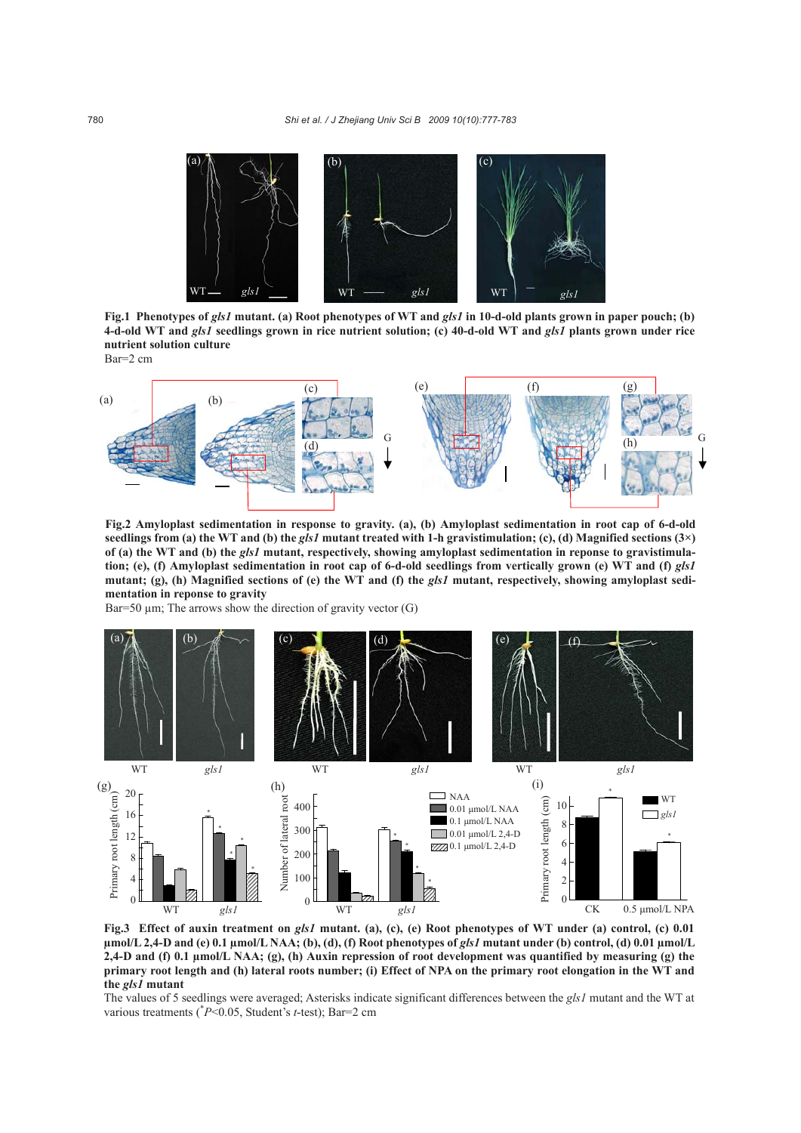

**Fig.1 Phenotypes of** *gls1* **mutant. (a) Root phenotypes of WT and** *gls1* **in 10-d-old plants grown in paper pouch; (b) 4-d-old WT and** *gls1* **seedlings grown in rice nutrient solution; (c) 40-d-old WT and** *gls1* **plants grown under rice nutrient solution culture**  Bar=2 cm



**Fig.2 Amyloplast sedimentation in response to gravity. (a), (b) Amyloplast sedimentation in root cap of 6-d-old seedlings from (a) the WT and (b) the** *gls1* **mutant treated with 1-h gravistimulation; (c), (d) Magnified sections (3×) of (a) the WT and (b) the** *gls1* **mutant, respectively, showing amyloplast sedimentation in reponse to gravistimulation; (e), (f) Amyloplast sedimentation in root cap of 6-d-old seedlings from vertically grown (e) WT and (f)** *gls1* **mutant; (g), (h) Magnified sections of (e) the WT and (f) the** *gls1* **mutant, respectively, showing amyloplast sedimentation in reponse to gravity**

Bar=50  $\mu$ m; The arrows show the direction of gravity vector (G)



**Fig.3 Effect of auxin treatment on** *gls1* **mutant. (a), (c), (e) Root phenotypes of WT under (a) control, (c) 0.01 µmol/L 2,4-D and (e) 0.1 µmol/L NAA; (b), (d), (f) Root phenotypes of** *gls1* **mutant under (b) control, (d) 0.01 µmol/L 2,4-D and (f) 0.1 µmol/L NAA; (g), (h) Auxin repression of root development was quantified by measuring (g) the primary root length and (h) lateral roots number; (i) Effect of NPA on the primary root elongation in the WT and the** *gls1* **mutant** 

The values of 5 seedlings were averaged; Asterisks indicate significant differences between the *gls1* mutant and the WT at various treatments (\* *P*<0.05, Student's *t*-test); Bar=2 cm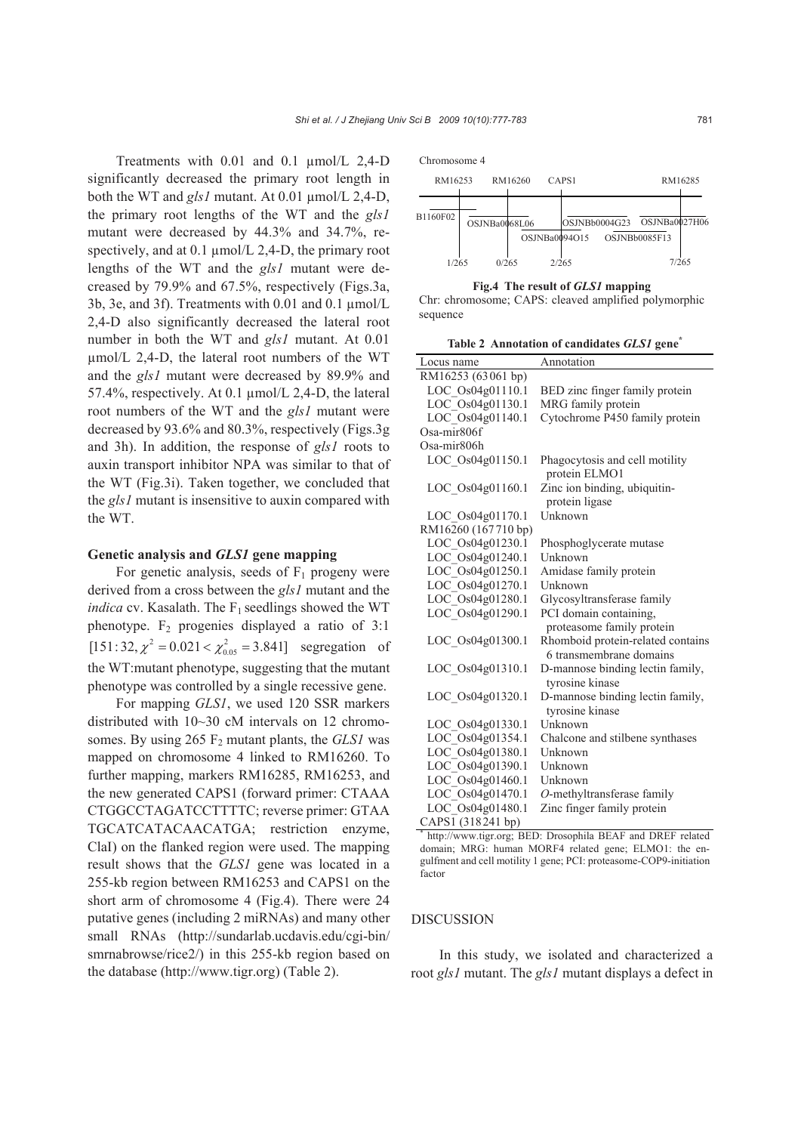Treatments with 0.01 and 0.1 µmol/L 2,4-D significantly decreased the primary root length in both the WT and *gls1* mutant. At 0.01 µmol/L 2,4-D, the primary root lengths of the WT and the *gls1* mutant were decreased by 44.3% and 34.7%, respectively, and at 0.1  $\mu$ mol/L 2,4-D, the primary root lengths of the WT and the *gls1* mutant were decreased by 79.9% and 67.5%, respectively (Figs.3a, 3b, 3e, and 3f). Treatments with 0.01 and 0.1 µmol/L 2,4-D also significantly decreased the lateral root number in both the WT and *gls1* mutant. At 0.01 µmol/L 2,4-D, the lateral root numbers of the WT and the *gls1* mutant were decreased by 89.9% and 57.4%, respectively. At 0.1 µmol/L 2,4-D, the lateral root numbers of the WT and the *gls1* mutant were decreased by 93.6% and 80.3%, respectively (Figs.3g and 3h). In addition, the response of *gls1* roots to auxin transport inhibitor NPA was similar to that of the WT (Fig.3i). Taken together, we concluded that the *gls1* mutant is insensitive to auxin compared with the WT.

### **Genetic analysis and** *GLS1* **gene mapping**

For genetic analysis, seeds of  $F_1$  progeny were derived from a cross between the *gls1* mutant and the *indica* cv. Kasalath. The  $F_1$  seedlings showed the WT phenotype.  $F_2$  progenies displayed a ratio of 3:1  $[151:32, \chi^2 = 0.021 < \chi^2_{0.05} = 3.841]$  segregation of the WT:mutant phenotype, suggesting that the mutant phenotype was controlled by a single recessive gene.

For mapping *GLS1*, we used 120 SSR markers distributed with 10~30 cM intervals on 12 chromosomes. By using  $265 \text{ F}_2$  mutant plants, the *GLS1* was mapped on chromosome 4 linked to RM16260. To further mapping, markers RM16285, RM16253, and the new generated CAPS1 (forward primer: CTAAA CTGGCCTAGATCCTTTTC; reverse primer: GTAA TGCATCATACAACATGA; restriction enzyme, ClaI) on the flanked region were used. The mapping result shows that the *GLS1* gene was located in a 255-kb region between RM16253 and CAPS1 on the short arm of chromosome 4 (Fig.4). There were 24 putative genes (including 2 miRNAs) and many other small RNAs (http://sundarlab.ucdavis.edu/cgi-bin/ smrnabrowse/rice2/) in this 255-kb region based on the database (http://www.tigr.org) (Table 2).



**Fig.4 The result of** *GLS1* **mapping** 

Chr: chromosome; CAPS: cleaved amplified polymorphic sequence

**Table 2 Annotation of candidates** *GLS1* **gene\***

| Locus name              | Annotation                                                   |  |  |  |
|-------------------------|--------------------------------------------------------------|--|--|--|
| RM16253 (63061 bp)      |                                                              |  |  |  |
| LOC Os04g01110.1        | BED zinc finger family protein                               |  |  |  |
| LOC_Os04g01130.1        | MRG family protein                                           |  |  |  |
| LOC_Os04g01140.1        | Cytochrome P450 family protein                               |  |  |  |
| Osa-mir806f             |                                                              |  |  |  |
| Osa-mir <sub>806h</sub> |                                                              |  |  |  |
| LOC Os04g01150.1        | Phagocytosis and cell motility<br>protein ELMO1              |  |  |  |
| LOC Os04g01160.1        | Zinc ion binding, ubiquitin-<br>protein ligase               |  |  |  |
| LOC Os04g01170.1        | Unknown                                                      |  |  |  |
| RM16260 (167710 bp)     |                                                              |  |  |  |
| LOC_Os04g01230.1        | Phosphoglycerate mutase                                      |  |  |  |
| LOC_Os04g01240.1        | Unknown                                                      |  |  |  |
| LOC Os04g01250.1        | Amidase family protein                                       |  |  |  |
| LOC_Os04g01270.1        | Unknown                                                      |  |  |  |
| LOC_Os04g01280.1        | Glycosyltransferase family                                   |  |  |  |
| LOC_Os04g01290.1        | PCI domain containing,                                       |  |  |  |
|                         | proteasome family protein                                    |  |  |  |
| LOC Os04g01300.1        | Rhomboid protein-related contains<br>6 transmembrane domains |  |  |  |
| LOC Os04g01310.1        | D-mannose binding lectin family,<br>tyrosine kinase          |  |  |  |
| LOC Os04g01320.1        | D-mannose binding lectin family,<br>tyrosine kinase          |  |  |  |
| LOC Os04g01330.1        | Unknown                                                      |  |  |  |
| LOC Os04g01354.1        | Chalcone and stilbene synthases                              |  |  |  |
| LOC_Os04g01380.1        | Unknown                                                      |  |  |  |
| LOC_Os04g01390.1        | Unknown                                                      |  |  |  |
| LOC_Os04g01460.1        | Unknown                                                      |  |  |  |
| LOC Os04g01470.1        | O-methyltransferase family                                   |  |  |  |
| LOC_Os04g01480.1        | Zinc finger family protein                                   |  |  |  |
| $(1001)(218241)$ hn)    |                                                              |  |  |  |

CAPS1 (318241 bp) \* http://www.tigr.org; BED: Drosophila BEAF and DREF related domain; MRG: human MORF4 related gene; ELMO1: the engulfment and cell motility 1 gene; PCI: proteasome-COP9-initiation factor

#### DISCUSSION

In this study, we isolated and characterized a root *gls1* mutant. The *gls1* mutant displays a defect in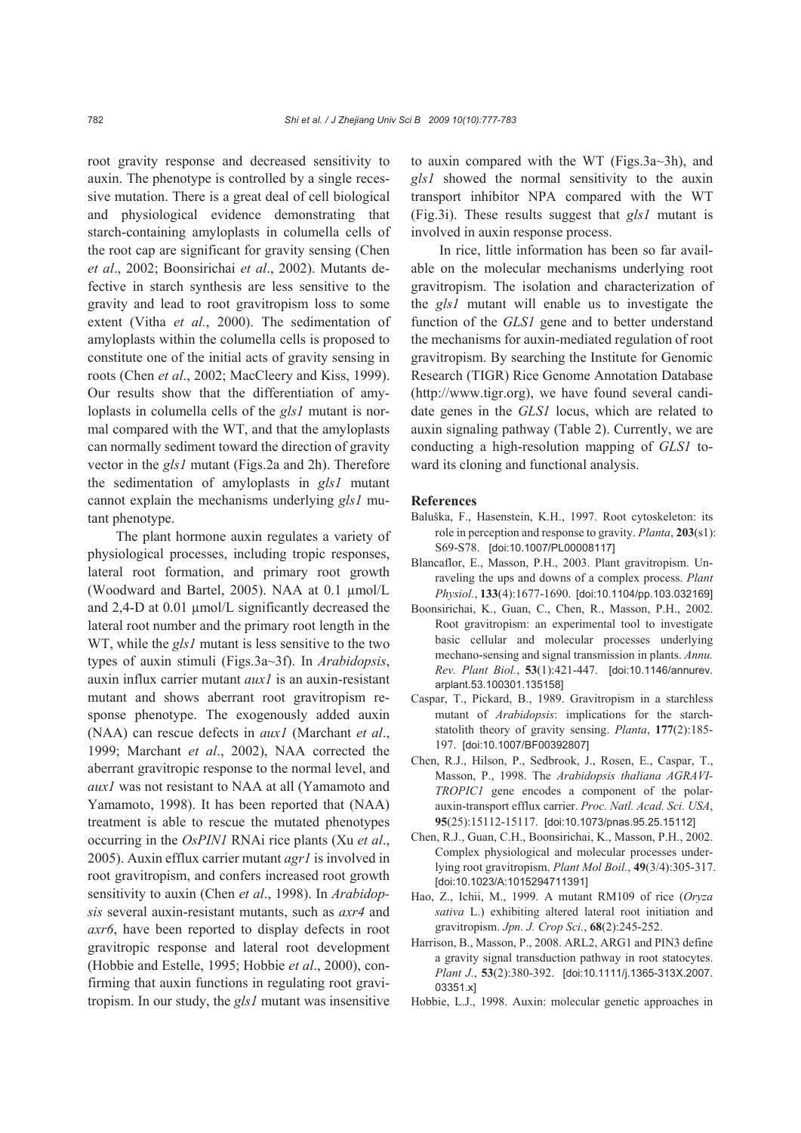root gravity response and decreased sensitivity to auxin. The phenotype is controlled by a single recessive mutation. There is a great deal of cell biological and physiological evidence demonstrating that starch-containing amyloplasts in columella cells of the root cap are significant for gravity sensing (Chen *et al*., 2002; Boonsirichai *et al*., 2002). Mutants defective in starch synthesis are less sensitive to the gravity and lead to root gravitropism loss to some extent (Vitha *et al.*, 2000). The sedimentation of amyloplasts within the columella cells is proposed to constitute one of the initial acts of gravity sensing in roots (Chen *et al*., 2002; MacCleery and Kiss, 1999). Our results show that the differentiation of amyloplasts in columella cells of the *gls1* mutant is normal compared with the WT, and that the amyloplasts can normally sediment toward the direction of gravity vector in the *gls1* mutant (Figs.2a and 2h). Therefore the sedimentation of amyloplasts in *gls1* mutant cannot explain the mechanisms underlying *gls1* mutant phenotype.

The plant hormone auxin regulates a variety of physiological processes, including tropic responses, lateral root formation, and primary root growth (Woodward and Bartel, 2005). NAA at 0.1 µmol/L and 2,4-D at 0.01 µmol/L significantly decreased the lateral root number and the primary root length in the WT, while the *gls1* mutant is less sensitive to the two types of auxin stimuli (Figs.3a~3f). In *Arabidopsis*, auxin influx carrier mutant *aux1* is an auxin-resistant mutant and shows aberrant root gravitropism response phenotype. The exogenously added auxin (NAA) can rescue defects in *aux1* (Marchant *et al*., 1999; Marchant *et al*., 2002), NAA corrected the aberrant gravitropic response to the normal level, and *aux1* was not resistant to NAA at all (Yamamoto and Yamamoto, 1998). It has been reported that (NAA) treatment is able to rescue the mutated phenotypes occurring in the *OsPIN1* RNAi rice plants (Xu *et al*., 2005). Auxin efflux carrier mutant *agr1* is involved in root gravitropism, and confers increased root growth sensitivity to auxin (Chen *et al*., 1998). In *Arabidopsis* several auxin-resistant mutants, such as *axr4* and *axr6*, have been reported to display defects in root gravitropic response and lateral root development (Hobbie and Estelle, 1995; Hobbie *et al*., 2000), confirming that auxin functions in regulating root gravitropism. In our study, the *gls1* mutant was insensitive to auxin compared with the WT (Figs.3a~3h), and *gls1* showed the normal sensitivity to the auxin transport inhibitor NPA compared with the WT (Fig.3i). These results suggest that *gls1* mutant is involved in auxin response process.

In rice, little information has been so far available on the molecular mechanisms underlying root gravitropism. The isolation and characterization of the *gls1* mutant will enable us to investigate the function of the *GLS1* gene and to better understand the mechanisms for auxin-mediated regulation of root gravitropism. By searching the Institute for Genomic Research (TIGR) Rice Genome Annotation Database (http://www.tigr.org), we have found several candidate genes in the *GLS1* locus, which are related to auxin signaling pathway (Table 2). Currently, we are conducting a high-resolution mapping of *GLS1* toward its cloning and functional analysis.

#### **References**

- Baluška, F., Hasenstein, K.H., 1997. Root cytoskeleton: its role in perception and response to gravity. *Planta*, **203**(s1): S69-S78. [doi:10.1007/PL00008117]
- Blancaflor, E., Masson, P.H., 2003. Plant gravitropism. Unraveling the ups and downs of a complex process. *Plant Physiol.*, **133**(4):1677-1690. [doi:10.1104/pp.103.032169]
- Boonsirichai, K., Guan, C., Chen, R., Masson, P.H., 2002. Root gravitropism: an experimental tool to investigate basic cellular and molecular processes underlying mechano-sensing and signal transmission in plants. *Annu. Rev. Plant Biol.*, **53**(1):421-447. [doi:10.1146/annurev. arplant.53.100301.135158]
- Caspar, T., Pickard, B., 1989. Gravitropism in a starchless mutant of *Arabidopsis*: implications for the starchstatolith theory of gravity sensing. *Planta*, **177**(2):185- 197. [doi:10.1007/BF00392807]
- Chen, R.J., Hilson, P., Sedbrook, J., Rosen, E., Caspar, T., Masson, P., 1998. The *Arabidopsis thaliana AGRAVI-TROPIC1* gene encodes a component of the polarauxin-transport efflux carrier. *Proc. Natl. Acad. Sci. USA*, **95**(25):15112-15117. [doi:10.1073/pnas.95.25.15112]
- Chen, R.J., Guan, C.H., Boonsirichai, K., Masson, P.H., 2002. Complex physiological and molecular processes underlying root gravitropism. *Plant Mol Boil.*, **49**(3/4):305-317. [doi:10.1023/A:1015294711391]
- Hao, Z., Ichii, M., 1999. A mutant RM109 of rice (*Oryza sativa* L.) exhibiting altered lateral root initiation and gravitropism. *Jpn. J. Crop Sci.*, **68**(2):245-252.
- Harrison, B., Masson, P., 2008. ARL2, ARG1 and PIN3 define a gravity signal transduction pathway in root statocytes. *Plant J.*, **53**(2):380-392. [doi:10.1111/j.1365-313X.2007. 03351.x]
- Hobbie, L.J., 1998. Auxin: molecular genetic approaches in